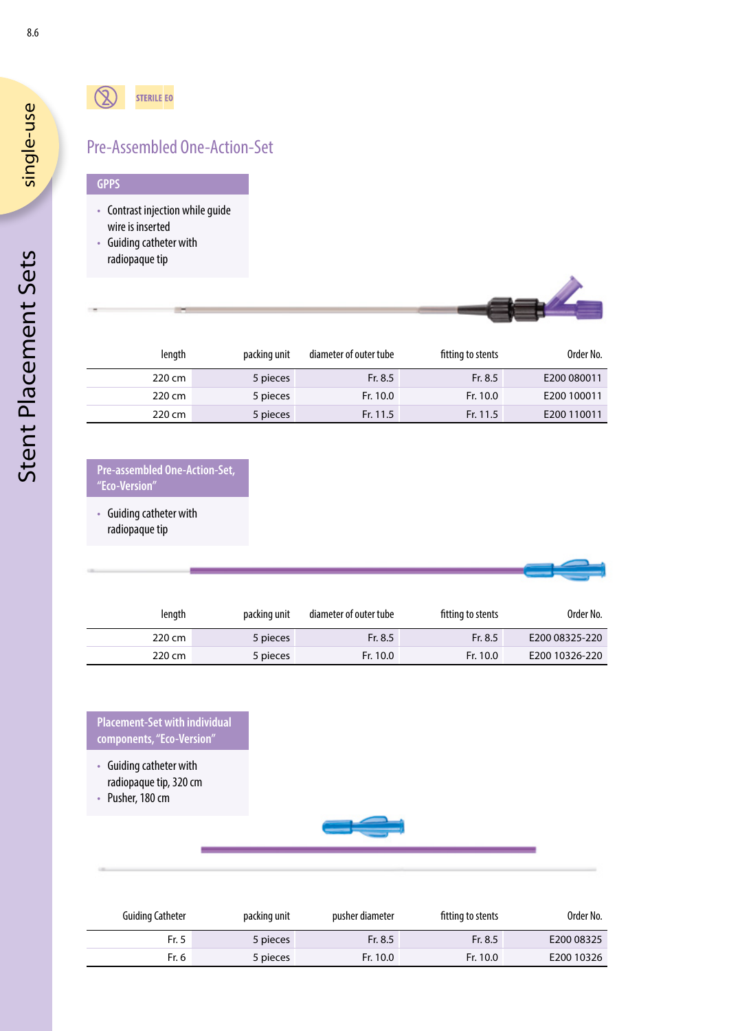# Pre-Assembled One-Action-Set

### **GPPS**

- Contrast injection while guide wire is inserted
- Guiding catheter with radiopaque tip



| length | packing unit | diameter of outer tube | fitting to stents | Order No.   |
|--------|--------------|------------------------|-------------------|-------------|
| 220 cm | 5 pieces     | Fr. 8.5                | Fr. 8.5           | E200 080011 |
| 220 cm | 5 pieces     | Fr. 10.0               | Fr. 10.0          | E200 100011 |
| 220 cm | 5 pieces     | Fr. 11.5               | Fr. 11.5          | E200 110011 |

### **Pre-assembled One-Action-Set, "Eco-Version"**

• Guiding catheter with radiopaque tip

| Order No.      | fitting to stents | diameter of outer tube | packing unit | length |  |  |  |  |
|----------------|-------------------|------------------------|--------------|--------|--|--|--|--|
| E200 08325-220 | Fr. 8.5           | Fr. 8.5                | 5 pieces     | 220 cm |  |  |  |  |
| E200 10326-220 | Fr. 10.0          | Fr. 10.0               | 5 pieces     | 220 cm |  |  |  |  |

**Placement-Set with individual components, "Eco-Version"**

- Guiding catheter with radiopaque tip, 320 cm
- Pusher, 180 cm



| <b>Guiding Catheter</b> | packing unit | pusher diameter | fitting to stents | Order No.  |
|-------------------------|--------------|-----------------|-------------------|------------|
| Fr. 5                   | 5 pieces     | Fr. 8.5         | Fr. 8.5           | E200 08325 |
| Fr. 6                   | 5 pieces     | Fr. 10.0        | Fr. 10.0          | E200 10326 |

single-use